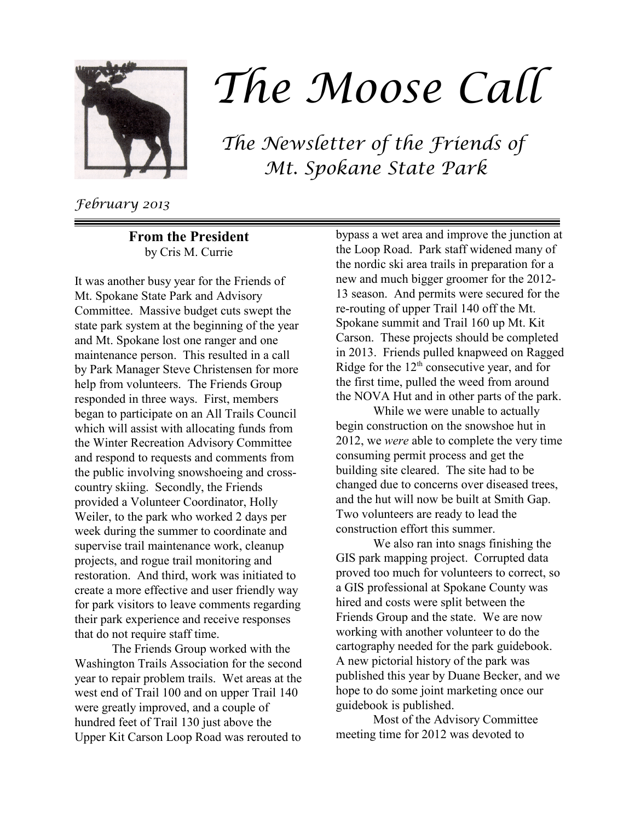

## The Moose Call

The Newsletter of the Friends of Mt. Spokane State Park

February 2013

**From the President** by Cris M. Currie

It was another busy year for the Friends of Mt. Spokane State Park and Advisory Committee. Massive budget cuts swept the state park system at the beginning of the year and Mt. Spokane lost one ranger and one maintenance person. This resulted in a call by Park Manager Steve Christensen for more help from volunteers. The Friends Group responded in three ways. First, members began to participate on an All Trails Council which will assist with allocating funds from the Winter Recreation Advisory Committee and respond to requests and comments from the public involving snowshoeing and crosscountry skiing. Secondly, the Friends provided a Volunteer Coordinator, Holly Weiler, to the park who worked 2 days per week during the summer to coordinate and supervise trail maintenance work, cleanup projects, and rogue trail monitoring and restoration. And third, work was initiated to create a more effective and user friendly way for park visitors to leave comments regarding their park experience and receive responses that do not require staff time.

The Friends Group worked with the Washington Trails Association for the second year to repair problem trails. Wet areas at the west end of Trail 100 and on upper Trail 140 were greatly improved, and a couple of hundred feet of Trail 130 just above the Upper Kit Carson Loop Road was rerouted to

bypass a wet area and improve the junction at the Loop Road. Park staff widened many of the nordic ski area trails in preparation for a new and much bigger groomer for the 2012- 13 season. And permits were secured for the re-routing of upper Trail 140 off the Mt. Spokane summit and Trail 160 up Mt. Kit Carson. These projects should be completed in 2013. Friends pulled knapweed on Ragged Ridge for the  $12<sup>th</sup>$  consecutive year, and for the first time, pulled the weed from around the NOVA Hut and in other parts of the park.

While we were unable to actually begin construction on the snowshoe hut in 2012, we *were* able to complete the very time consuming permit process and get the building site cleared. The site had to be changed due to concerns over diseased trees, and the hut will now be built at Smith Gap. Two volunteers are ready to lead the construction effort this summer.

We also ran into snags finishing the GIS park mapping project. Corrupted data proved too much for volunteers to correct, so a GIS professional at Spokane County was hired and costs were split between the Friends Group and the state. We are now working with another volunteer to do the cartography needed for the park guidebook. A new pictorial history of the park was published this year by Duane Becker, and we hope to do some joint marketing once our guidebook is published.

Most of the Advisory Committee meeting time for 2012 was devoted to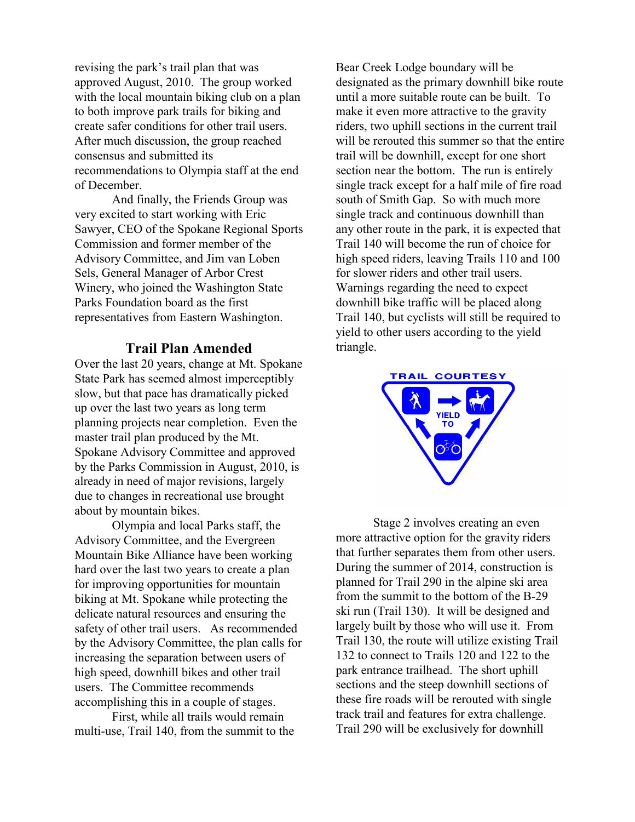revising the park's trail plan that was approved August, 2010. The group worked with the local mountain biking club on a plan to both improve park trails for biking and create safer conditions for other trail users. After much discussion, the group reached consensus and submitted its recommendations to Olympia staff at the end of December.

And finally, the Friends Group was very excited to start working with Eric Sawyer, CEO of the Spokane Regional Sports Commission and former member of the Advisory Committee, and Jim van Loben Sels, General Manager of Arbor Crest Winery, who joined the Washington State Parks Foundation board as the first representatives from Eastern Washington.

## **Trail Plan Amended**

Over the last 20 years, change at Mt. Spokane State Park has seemed almost imperceptibly slow, but that pace has dramatically picked up over the last two years as long term planning projects near completion. Even the master trail plan produced by the Mt. Spokane Advisory Committee and approved by the Parks Commission in August, 2010, is already in need of major revisions, largely due to changes in recreational use brought about by mountain bikes.

Olympia and local Parks staff, the Advisory Committee, and the Evergreen Mountain Bike Alliance have been working hard over the last two years to create a plan for improving opportunities for mountain biking at Mt. Spokane while protecting the delicate natural resources and ensuring the safety of other trail users. As recommended by the Advisory Committee, the plan calls for increasing the separation between users of high speed, downhill bikes and other trail users. The Committee recommends accomplishing this in a couple of stages.

First, while all trails would remain multi-use, Trail 140, from the summit to the

Bear Creek Lodge boundary will be designated as the primary downhill bike route until a more suitable route can be built. To make it even more attractive to the gravity riders, two uphill sections in the current trail will be rerouted this summer so that the entire trail will be downhill, except for one short section near the bottom. The run is entirely single track except for a half mile of fire road south of Smith Gap. So with much more single track and continuous downhill than any other route in the park, it is expected that Trail 140 will become the run of choice for high speed riders, leaving Trails 110 and 100 for slower riders and other trail users. Warnings regarding the need to expect downhill bike traffic will be placed along Trail 140, but cyclists will still be required to yield to other users according to the yield triangle.



Stage 2 involves creating an even more attractive option for the gravity riders that further separates them from other users. During the summer of 2014, construction is planned for Trail 290 in the alpine ski area from the summit to the bottom of the B-29 ski run (Trail 130). It will be designed and largely built by those who will use it. From Trail 130, the route will utilize existing Trail 132 to connect to Trails 120 and 122 to the park entrance trailhead. The short uphill sections and the steep downhill sections of these fire roads will be rerouted with single track trail and features for extra challenge. Trail 290 will be exclusively for downhill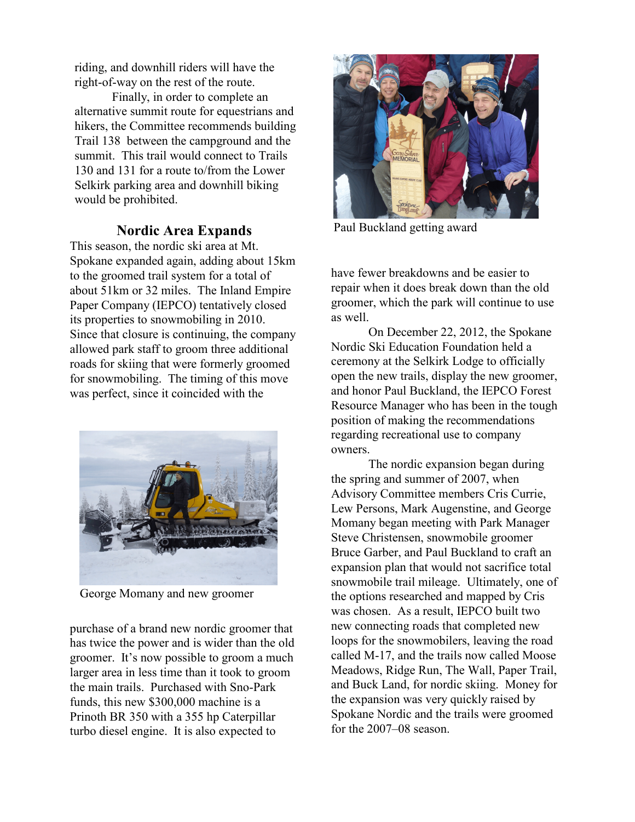riding, and downhill riders will have the right-of-way on the rest of the route.

Finally, in order to complete an alternative summit route for equestrians and hikers, the Committee recommends building Trail 138 between the campground and the summit. This trail would connect to Trails 130 and 131 for a route to/from the Lower Selkirk parking area and downhill biking would be prohibited.

## **Nordic Area Expands**

This season, the nordic ski area at Mt. Spokane expanded again, adding about 15km to the groomed trail system for a total of about 51km or 32 miles. The Inland Empire Paper Company (IEPCO) tentatively closed its properties to snowmobiling in 2010. Since that closure is continuing, the company allowed park staff to groom three additional roads for skiing that were formerly groomed for snowmobiling. The timing of this move was perfect, since it coincided with the



George Momany and new groomer

purchase of a brand new nordic groomer that has twice the power and is wider than the old groomer. It's now possible to groom a much larger area in less time than it took to groom the main trails. Purchased with Sno-Park funds, this new \$300,000 machine is a Prinoth BR 350 with a 355 hp Caterpillar turbo diesel engine. It is also expected to



Paul Buckland getting award

have fewer breakdowns and be easier to repair when it does break down than the old groomer, which the park will continue to use as well.

On December 22, 2012, the Spokane Nordic Ski Education Foundation held a ceremony at the Selkirk Lodge to officially open the new trails, display the new groomer, and honor Paul Buckland, the IEPCO Forest Resource Manager who has been in the tough position of making the recommendations regarding recreational use to company owners.

The nordic expansion began during the spring and summer of 2007, when Advisory Committee members Cris Currie, Lew Persons, Mark Augenstine, and George Momany began meeting with Park Manager Steve Christensen, snowmobile groomer Bruce Garber, and Paul Buckland to craft an expansion plan that would not sacrifice total snowmobile trail mileage. Ultimately, one of the options researched and mapped by Cris was chosen. As a result, IEPCO built two new connecting roads that completed new loops for the snowmobilers, leaving the road called M-17, and the trails now called Moose Meadows, Ridge Run, The Wall, Paper Trail, and Buck Land, for nordic skiing. Money for the expansion was very quickly raised by Spokane Nordic and the trails were groomed for the 2007–08 season.